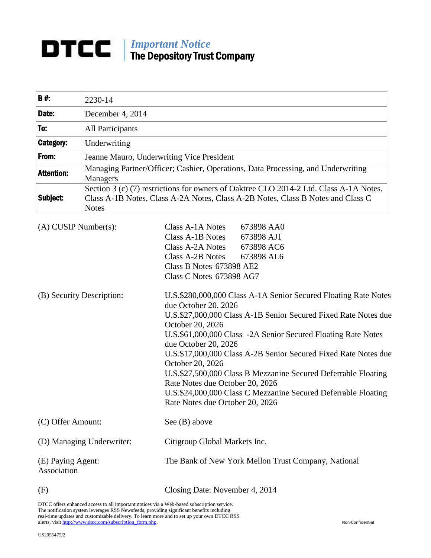# *Important Notice* The Depository Trust Company

| $B#$ :            | 2230-14                                                                                                                                                                                   |
|-------------------|-------------------------------------------------------------------------------------------------------------------------------------------------------------------------------------------|
| Date:             | December 4, 2014                                                                                                                                                                          |
| To:               | All Participants                                                                                                                                                                          |
| Category:         | Underwriting                                                                                                                                                                              |
| From:             | Jeanne Mauro, Underwriting Vice President                                                                                                                                                 |
| <b>Attention:</b> | Managing Partner/Officer; Cashier, Operations, Data Processing, and Underwriting<br>Managers                                                                                              |
| Subject:          | Section 3 (c) (7) restrictions for owners of Oaktree CLO 2014-2 Ltd. Class A-1A Notes,<br>Class A-1B Notes, Class A-2A Notes, Class A-2B Notes, Class B Notes and Class C<br><b>Notes</b> |

| $(A)$ CUSIP Number $(s)$ :       | 673898 AA0<br>Class A-1A Notes                                                                    |
|----------------------------------|---------------------------------------------------------------------------------------------------|
|                                  | Class A-1B Notes<br>673898 AJ1                                                                    |
|                                  | Class A-2A Notes<br>673898 AC6                                                                    |
|                                  | Class A-2B Notes<br>673898 AL6                                                                    |
|                                  | Class B Notes 673898 AE2                                                                          |
|                                  | Class C Notes 673898 AG7                                                                          |
| (B) Security Description:        | U.S.\$280,000,000 Class A-1A Senior Secured Floating Rate Notes<br>due October 20, 2026           |
|                                  | U.S.\$27,000,000 Class A-1B Senior Secured Fixed Rate Notes due<br>October 20, 2026               |
|                                  | U.S.\$61,000,000 Class -2A Senior Secured Floating Rate Notes<br>due October 20, 2026             |
|                                  | U.S.\$17,000,000 Class A-2B Senior Secured Fixed Rate Notes due<br>October 20, 2026               |
|                                  | U.S.\$27,500,000 Class B Mezzanine Secured Deferrable Floating<br>Rate Notes due October 20, 2026 |
|                                  | U.S.\$24,000,000 Class C Mezzanine Secured Deferrable Floating                                    |
|                                  | Rate Notes due October 20, 2026                                                                   |
| (C) Offer Amount:                | See $(B)$ above                                                                                   |
| (D) Managing Underwriter:        | Citigroup Global Markets Inc.                                                                     |
| (E) Paying Agent:<br>Association | The Bank of New York Mellon Trust Company, National                                               |
| (F)                              | Closing Date: November 4, 2014                                                                    |

DTCC offers enhanced access to all important notices via a Web-based subscription service.

The notification system leverages RSS Newsfeeds, providing significant benefits including real-time updates and customizable delivery. To learn more and to set up your own DTCC RSS alerts, visit [http://www.dtcc.com/subscription\\_form.php.](http://www.dtcc.com/subscription_form.php) Non-Confidential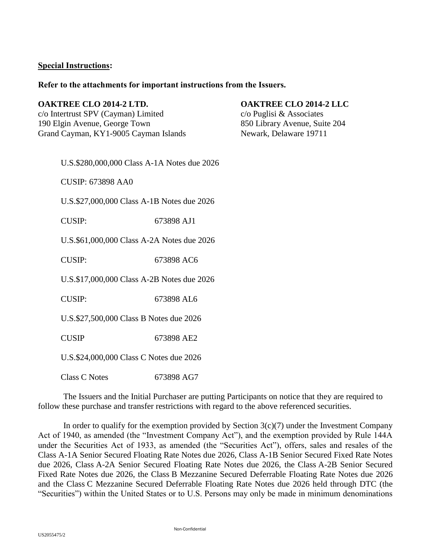## **Special Instructions:**

### **Refer to the attachments for important instructions from the Issuers.**

### **OAKTREE CLO 2014-2 LTD. OAKTREE CLO 2014-2 LLC**

c/o Intertrust SPV (Cayman) Limited c/o Puglisi & Associates 190 Elgin Avenue, George Town 850 Library Avenue, Suite 204 Grand Cayman, KY1-9005 Cayman Islands Newark, Delaware 19711

U.S.\$280,000,000 Class A-1A Notes due 2026

CUSIP: 673898 AA0

U.S.\$27,000,000 Class A-1B Notes due 2026

CUSIP: 673898 AJ1

U.S.\$61,000,000 Class A-2A Notes due 2026

CUSIP: 673898 AC6

U.S.\$17,000,000 Class A-2B Notes due 2026

CUSIP: 673898 AL6

U.S.\$27,500,000 Class B Notes due 2026

CUSIP 673898 AE2

U.S.\$24,000,000 Class C Notes due 2026

Class C Notes 673898 AG7

The Issuers and the Initial Purchaser are putting Participants on notice that they are required to follow these purchase and transfer restrictions with regard to the above referenced securities.

In order to qualify for the exemption provided by Section  $3(c)(7)$  under the Investment Company Act of 1940, as amended (the "Investment Company Act"), and the exemption provided by Rule 144A under the Securities Act of 1933, as amended (the "Securities Act"), offers, sales and resales of the Class A-1A Senior Secured Floating Rate Notes due 2026, Class A-1B Senior Secured Fixed Rate Notes due 2026, Class A-2A Senior Secured Floating Rate Notes due 2026, the Class A-2B Senior Secured Fixed Rate Notes due 2026, the Class B Mezzanine Secured Deferrable Floating Rate Notes due 2026 and the Class C Mezzanine Secured Deferrable Floating Rate Notes due 2026 held through DTC (the "Securities") within the United States or to U.S. Persons may only be made in minimum denominations